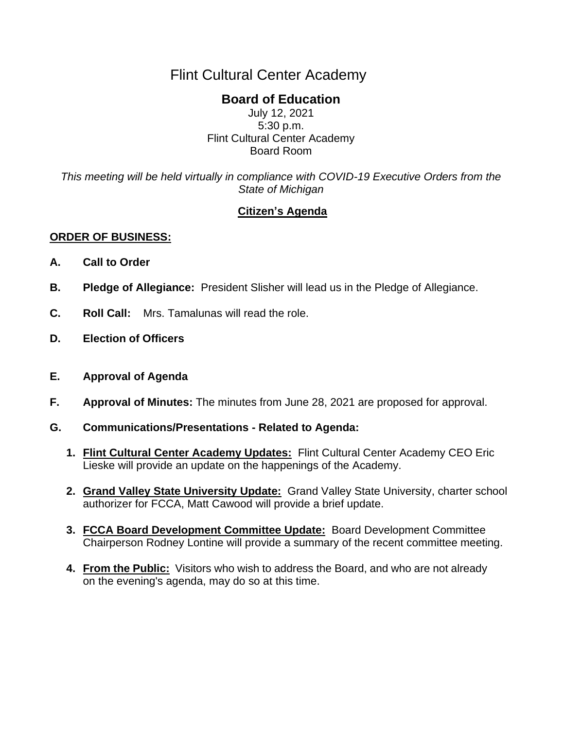# Flint Cultural Center Academy

## **Board of Education**

July 12, 2021 5:30 p.m. Flint Cultural Center Academy Board Room

*This meeting will be held virtually in compliance with COVID-19 Executive Orders from the State of Michigan*

## **Citizen's Agenda**

### **ORDER OF BUSINESS:**

- **A. Call to Order**
- **B. Pledge of Allegiance:** President Slisher will lead us in the Pledge of Allegiance.
- **C. Roll Call:** Mrs. Tamalunas will read the role.
- **D. Election of Officers**
- **E. Approval of Agenda**
- **F. Approval of Minutes:** The minutes from June 28, 2021 are proposed for approval.
- **G. Communications/Presentations - Related to Agenda:**
	- **1. Flint Cultural Center Academy Updates:** Flint Cultural Center Academy CEO Eric Lieske will provide an update on the happenings of the Academy.
	- **2. Grand Valley State University Update:** Grand Valley State University, charter school authorizer for FCCA, Matt Cawood will provide a brief update.
	- **3. FCCA Board Development Committee Update:** Board Development Committee Chairperson Rodney Lontine will provide a summary of the recent committee meeting.
	- **4. From the Public:** Visitors who wish to address the Board, and who are not already on the evening's agenda, may do so at this time.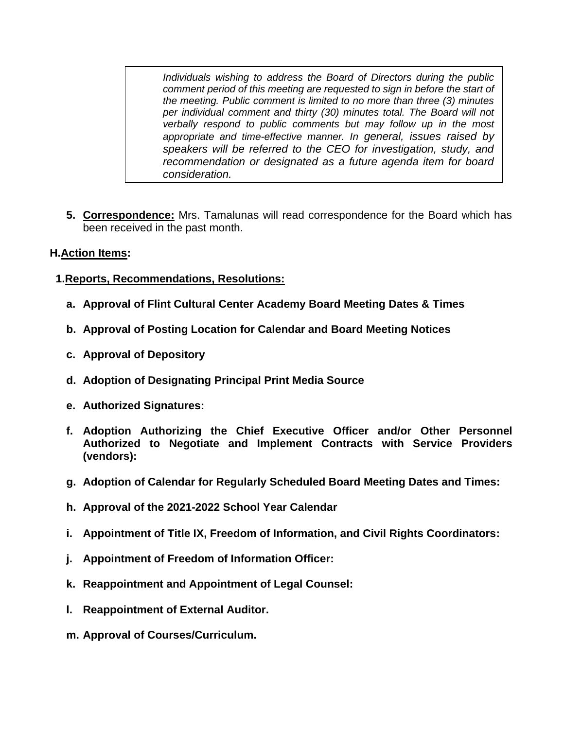*Individuals wishing to address the Board of Directors during the public comment period of this meeting are requested to sign in before the start of the meeting. Public comment is limited to no more than three (3) minutes per individual comment and thirty (30) minutes total. The Board will not verbally respond to public comments but may follow up in the most appropriate and time-effective manner. In general, issues raised by speakers will be referred to the CEO for investigation, study, and recommendation or designated as a future agenda item for board consideration.*

**5. Correspondence:** Mrs. Tamalunas will read correspondence for the Board which has been received in the past month.

#### **H.Action Items:**

#### **1.Reports, Recommendations, Resolutions:**

- **a. Approval of Flint Cultural Center Academy Board Meeting Dates & Times**
- **b. Approval of Posting Location for Calendar and Board Meeting Notices**
- **c. Approval of Depository**
- **d. Adoption of Designating Principal Print Media Source**
- **e. Authorized Signatures:**
- **f. Adoption Authorizing the Chief Executive Officer and/or Other Personnel Authorized to Negotiate and Implement Contracts with Service Providers (vendors):**
- **g. Adoption of Calendar for Regularly Scheduled Board Meeting Dates and Times:**
- **h. Approval of the 2021-2022 School Year Calendar**
- **i. Appointment of Title IX, Freedom of Information, and Civil Rights Coordinators:**
- **j. Appointment of Freedom of Information Officer:**
- **k. Reappointment and Appointment of Legal Counsel:**
- **l. Reappointment of External Auditor.**
- **m. Approval of Courses/Curriculum.**